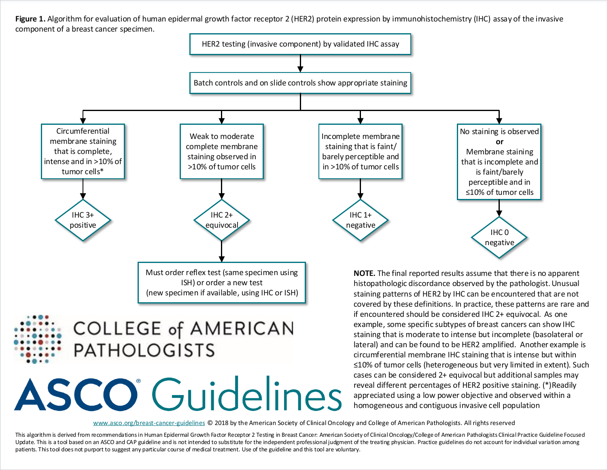Figure 1. Algorithm for evaluation of human epidermal growth factor receptor 2 (HER2) protein expression by immunohistochemistry (IHC) assay of the invasive component of a breast cancer specimen.



www.asco.org/breast-cancer-guidelines © 2018 by the American Society of Clinical Oncology [and College of American Pathologists. All rights reserved](http://www.asco.org/breast-cancer-guidelines)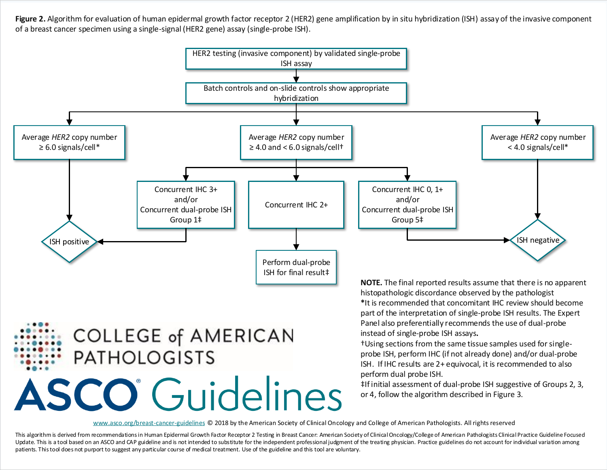Figure 2. Algorithm for evaluation of human epidermal growth factor receptor 2 (HER2) gene amplification by in situ hybridization (ISH) assay of the invasive component of a breast cancer specimen using a single-signal (HER2 gene) assay (single-probe ISH).



www.asco.org/breast-cancer-guidelines © 2018 by the American Society of Clinical Oncology [and College of American Pathologists. All rights reserved](http://www.asco.org/breast-cancer-guidelines)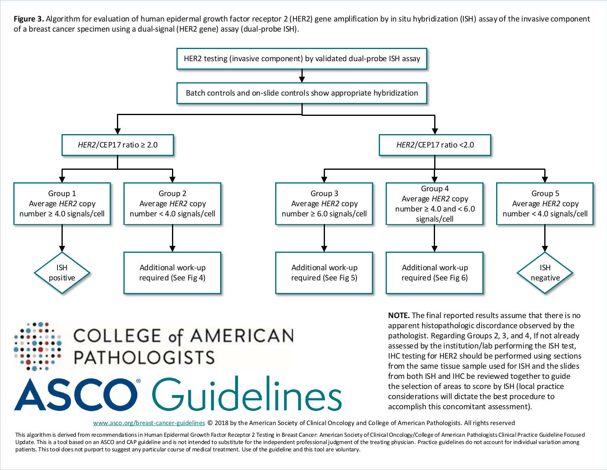Figure 3. Algorithm for evaluation of human epidermal growth factor receptor 2 (HER2) gene amplification by in situ hybridization (ISH) assay of the invasive component of a breast cancer specimen using a dual-signal (HER2 gene) assay (dual-probe ISH).



**COLLEGE of AMERICAN PATHOLOGISTS ASCO** Guidelines

**NOTE.** The final reported results assume that there is no apparent histopathologic discordance observed by the pathologist. Regarding Groups 2, 3, and 4, If not already assessed by the institution/lab performing the ISH test, IHC testing for HER2 should be performed using sections from the same tissue sample used for ISH and the slides from both ISH and IHC be reviewed together to guide the selection of areas to score by ISH (local practice considerations will dictate the best procedure to accomplish this concomitant assessment).

www.asco.org/breast-cancer-guidelines © 2018 by the American Society of Clinical Oncology [and College of American Pathologists. All rights reserved](http://www.asco.org/breast-cancer-guidelines)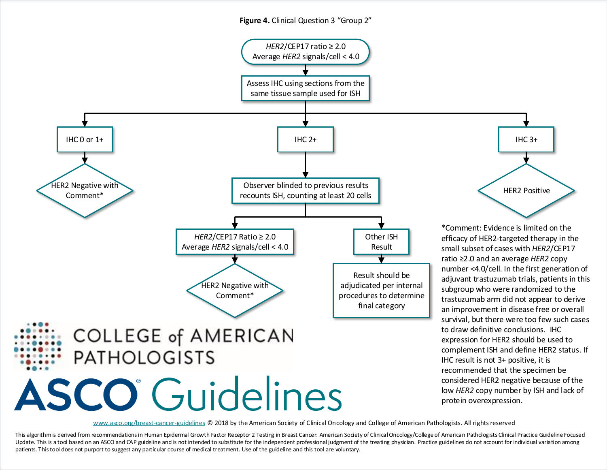## **Figure 4.** Clinical Question 3 "Group 2"



www.asco.org/breast-cancer-guidelines © 2018 by the American Society of Clinical Oncology [and College of American Pathologists. All rights reserved](http://www.asco.org/breast-cancer-guidelines)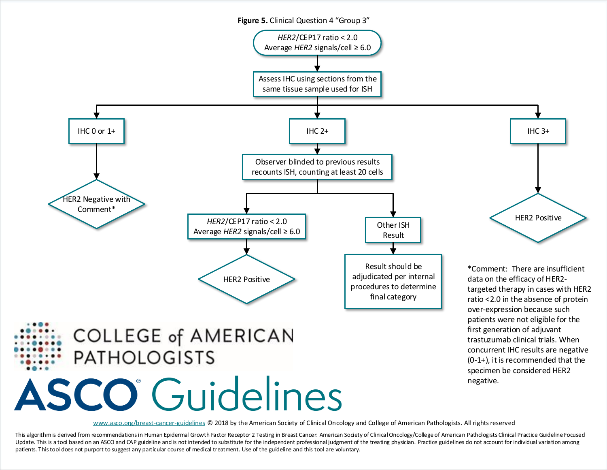

www.asco.org/breast-cancer-guidelines © 2018 by the American Society of Clinical Oncology [and College of American Pathologists. All rights reserved](http://www.asco.org/breast-cancer-guidelines)